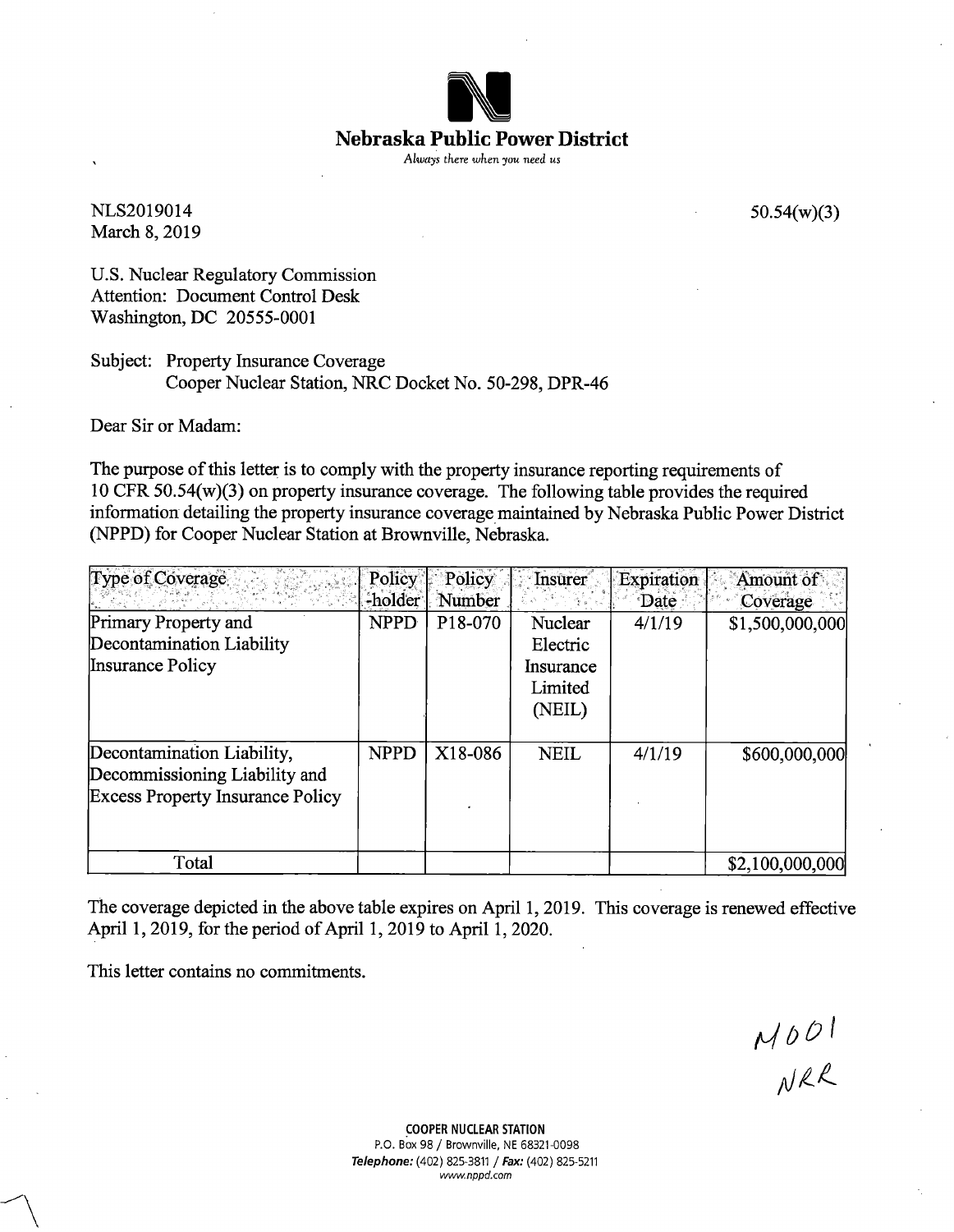

NLS2019014 March 8, 2019 50.54(w)(3)

U.S. Nuclear Regulatory Commission Attention: Document Control Desk Washington, DC 20555-0001

Subject: Property Insurance Coverage Cooper Nuclear Station, NRC Docket No. 50-298, DPR-46

Dear Sir or Madam:

The purpose of this letter is to comply with the property insurance reporting requirements of 10 CFR 50.54(w)(3) on property insurance coverage. The following table provides the required information detailing the property insurance coverage maintained by Nebraska Public Power District (NPPD) for Cooper Nuclear Station at Brownville, Nebraska.

| Type of Coverage                        | Policy      | Policy  | Insurer       | Expiration | Amount of       |
|-----------------------------------------|-------------|---------|---------------|------------|-----------------|
|                                         | -holder     | Number  | $\sim$ $\sim$ | Date       | Coverage        |
| Primary Property and                    | <b>NPPD</b> | P18-070 | Nuclear       | 4/1/19     | \$1,500,000,000 |
| Decontamination Liability               |             |         | Electric      |            |                 |
| Insurance Policy                        |             |         | Insurance     |            |                 |
|                                         |             |         | Limited       |            |                 |
|                                         |             |         | (NEIL)        |            |                 |
| Decontamination Liability,              | <b>NPPD</b> | X18-086 | <b>NEIL</b>   | 4/1/19     | \$600,000,000   |
| Decommissioning Liability and           |             |         |               |            |                 |
| <b>Excess Property Insurance Policy</b> |             |         |               |            |                 |
|                                         |             |         |               |            |                 |
| Total                                   |             |         |               |            | \$2,100,000,000 |

The coverage depicted in the above table expires on April 1, 2019. This coverage is renewed effective April 1, 2019, for the period of April 1, 2019 to April 1, 2020.

This letter contains no commitments.

 $M001$ <br> $NRL$ 

**COOPER NUCLEAR STATION**  P.O. Box 98 / Brownville, NE 68321-0098 **Telephone:** (402) 825-3811 / **Fax:** (402) 825-5211 www.nppd.com